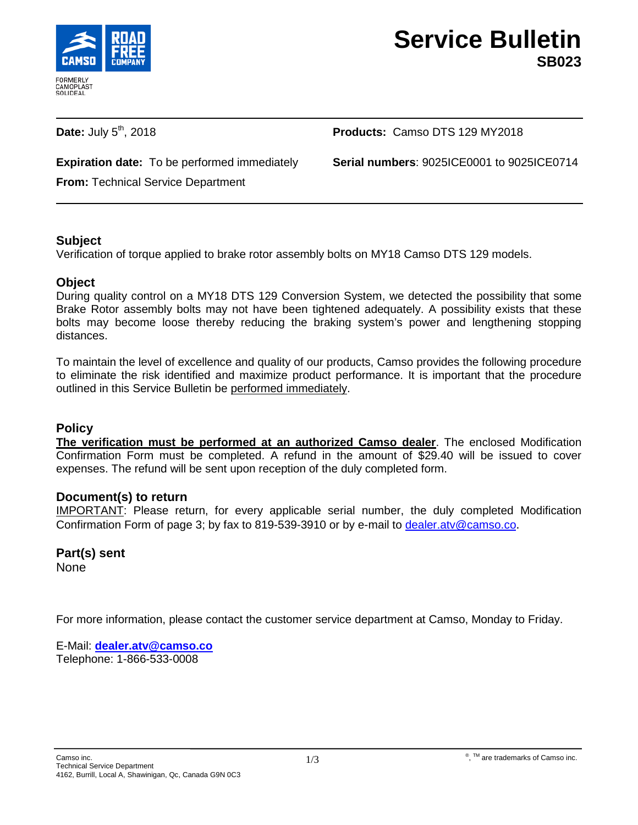

**Date:** July 5<sup>th</sup>, 2018 **Products:** Camso DTS 129 MY2018

**Expiration date:** To be performed immediately **Serial numbers**: 9025ICE0001 to 9025ICE0714

**From:** Technical Service Department

# **Subject**

Verification of torque applied to brake rotor assembly bolts on MY18 Camso DTS 129 models.

#### **Object**

During quality control on a MY18 DTS 129 Conversion System, we detected the possibility that some Brake Rotor assembly bolts may not have been tightened adequately. A possibility exists that these bolts may become loose thereby reducing the braking system's power and lengthening stopping distances.

To maintain the level of excellence and quality of our products, Camso provides the following procedure to eliminate the risk identified and maximize product performance. It is important that the procedure outlined in this Service Bulletin be performed immediately.

#### **Policy**

**The verification must be performed at an authorized Camso dealer**. The enclosed Modification Confirmation Form must be completed. A refund in the amount of \$29.40 will be issued to cover expenses. The refund will be sent upon reception of the duly completed form.

# **Document(s) to return**

IMPORTANT: Please return, for every applicable serial number, the duly completed Modification Confirmation Form of page 3; by fax to 819-539-3910 or by e-mail to [dealer.atv@camso.co.](mailto:dealer.atv@camso.co)

# **Part(s) sent**

None

For more information, please contact the customer service department at Camso, Monday to Friday.

E-Mail: **[dealer.atv@camso.co](mailto:dealer.atv@camso.co)** Telephone: 1-866-533-0008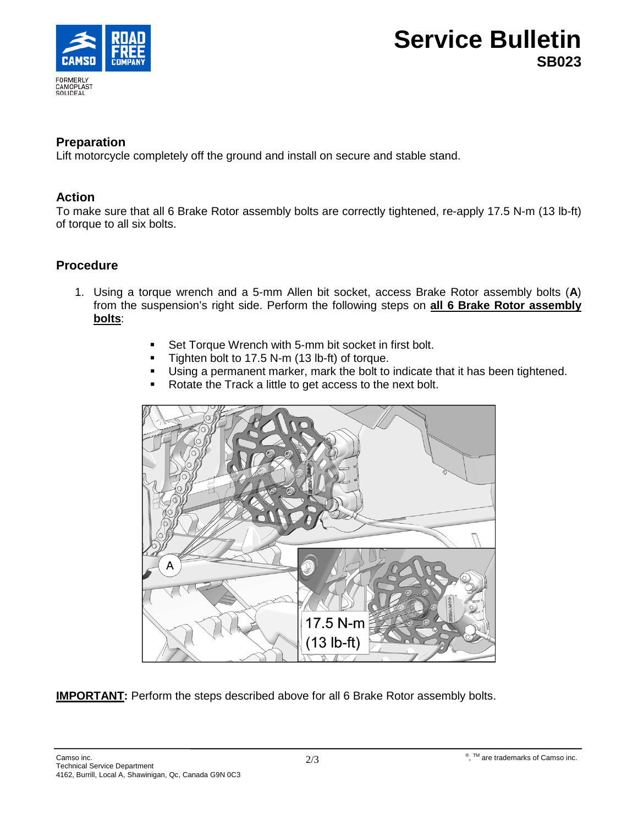

# **Service Bulletin SB023**

#### **Preparation**

Lift motorcycle completely off the ground and install on secure and stable stand.

#### **Action**

To make sure that all 6 Brake Rotor assembly bolts are correctly tightened, re-apply 17.5 N-m (13 lb-ft) of torque to all six bolts.

# **Procedure**

- 1. Using a torque wrench and a 5-mm Allen bit socket, access Brake Rotor assembly bolts (**A**) from the suspension's right side. Perform the following steps on **all 6 Brake Rotor assembly bolts**:
	- **Set Torque Wrench with 5-mm bit socket in first bolt.**
	- **Tighten bolt to 17.5 N-m (13 lb-ft) of torque.**
	- Using a permanent marker, mark the bolt to indicate that it has been tightened.
	- Rotate the Track a little to get access to the next bolt.



**IMPORTANT:** Perform the steps described above for all 6 Brake Rotor assembly bolts.